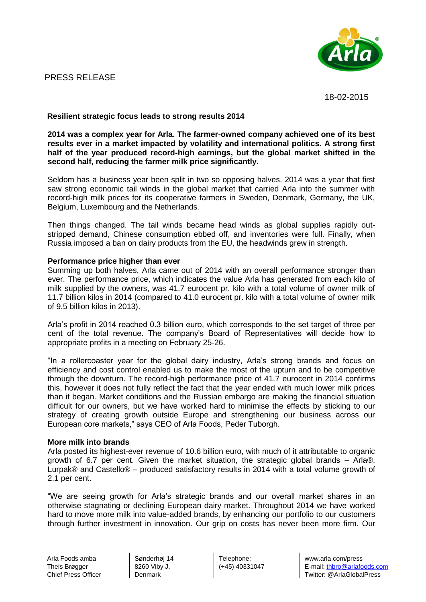### PRESS RELEASE



18-02-2015

### **Resilient strategic focus leads to strong results 2014**

**2014 was a complex year for Arla. The farmer-owned company achieved one of its best results ever in a market impacted by volatility and international politics. A strong first half of the year produced record-high earnings, but the global market shifted in the second half, reducing the farmer milk price significantly.**

Seldom has a business year been split in two so opposing halves. 2014 was a year that first saw strong economic tail winds in the global market that carried Arla into the summer with record-high milk prices for its cooperative farmers in Sweden, Denmark, Germany, the UK, Belgium, Luxembourg and the Netherlands.

Then things changed. The tail winds became head winds as global supplies rapidly outstripped demand, Chinese consumption ebbed off, and inventories were full. Finally, when Russia imposed a ban on dairy products from the EU, the headwinds grew in strength.

### **Performance price higher than ever**

Summing up both halves, Arla came out of 2014 with an overall performance stronger than ever. The performance price, which indicates the value Arla has generated from each kilo of milk supplied by the owners, was 41.7 eurocent pr. kilo with a total volume of owner milk of 11.7 billion kilos in 2014 (compared to 41.0 eurocent pr. kilo with a total volume of owner milk of 9.5 billion kilos in 2013).

Arla's profit in 2014 reached 0.3 billion euro, which corresponds to the set target of three per cent of the total revenue. The company's Board of Representatives will decide how to appropriate profits in a meeting on February 25-26.

"In a rollercoaster year for the global dairy industry, Arla's strong brands and focus on efficiency and cost control enabled us to make the most of the upturn and to be competitive through the downturn. The record-high performance price of 41.7 eurocent in 2014 confirms this, however it does not fully reflect the fact that the year ended with much lower milk prices than it began. Market conditions and the Russian embargo are making the financial situation difficult for our owners, but we have worked hard to minimise the effects by sticking to our strategy of creating growth outside Europe and strengthening our business across our European core markets," says CEO of Arla Foods, Peder Tuborgh.

### **More milk into brands**

Arla posted its highest-ever revenue of 10.6 billion euro, with much of it attributable to organic growth of 6.7 per cent. Given the market situation, the strategic global brands – Arla®, Lurpak® and Castello® – produced satisfactory results in 2014 with a total volume growth of 2.1 per cent.

"We are seeing growth for Arla's strategic brands and our overall market shares in an otherwise stagnating or declining European dairy market. Throughout 2014 we have worked hard to move more milk into value-added brands, by enhancing our portfolio to our customers through further investment in innovation. Our grip on costs has never been more firm. Our

Sønderhøj 14 8260 Viby J. **Denmark** 

Telephone: (+45) 40331047

www.arla.com/press E-mail: thbro@arlafoods.com Twitter: @ArlaGlobalPress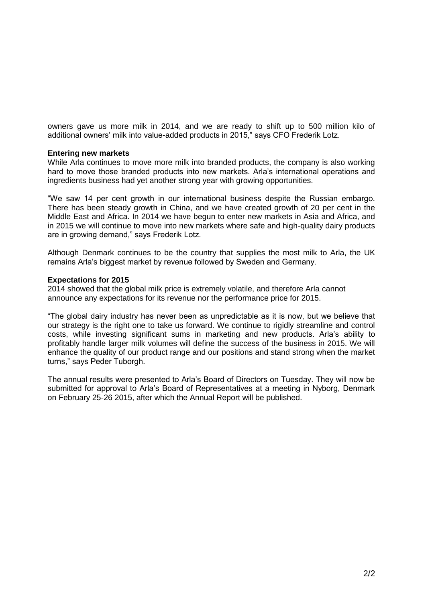owners gave us more milk in 2014, and we are ready to shift up to 500 million kilo of additional owners' milk into value-added products in 2015," says CFO Frederik Lotz.

### **Entering new markets**

While Arla continues to move more milk into branded products, the company is also working hard to move those branded products into new markets. Arla's international operations and ingredients business had yet another strong year with growing opportunities.

"We saw 14 per cent growth in our international business despite the Russian embargo. There has been steady growth in China, and we have created growth of 20 per cent in the Middle East and Africa. In 2014 we have begun to enter new markets in Asia and Africa, and in 2015 we will continue to move into new markets where safe and high-quality dairy products are in growing demand," says Frederik Lotz.

Although Denmark continues to be the country that supplies the most milk to Arla, the UK remains Arla's biggest market by revenue followed by Sweden and Germany.

### **Expectations for 2015**

2014 showed that the global milk price is extremely volatile, and therefore Arla cannot announce any expectations for its revenue nor the performance price for 2015.

"The global dairy industry has never been as unpredictable as it is now, but we believe that our strategy is the right one to take us forward. We continue to rigidly streamline and control costs, while investing significant sums in marketing and new products. Arla's ability to profitably handle larger milk volumes will define the success of the business in 2015. We will enhance the quality of our product range and our positions and stand strong when the market turns," says Peder Tuborgh.

The annual results were presented to Arla's Board of Directors on Tuesday. They will now be submitted for approval to Arla's Board of Representatives at a meeting in Nyborg, Denmark on February 25-26 2015, after which the Annual Report will be published.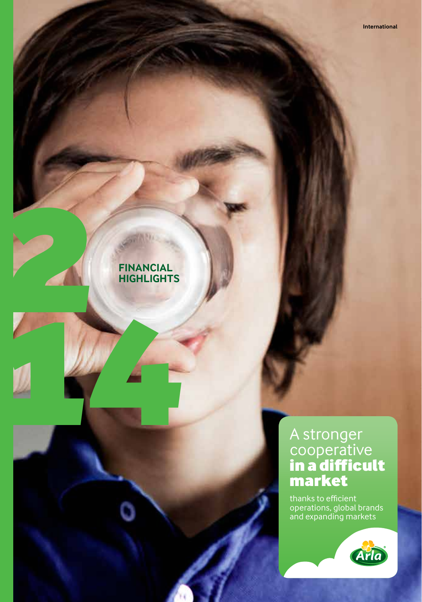### **FINANCIAL HIGHLIGHTS**

2

14

### A stronger cooperative in a difficult market

thanks to efficient operations, global brands and expanding markets

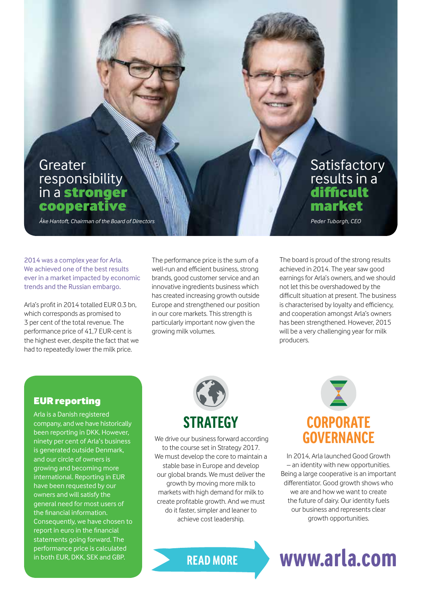### Greater responsibility in a stronger cooperative

*Åke Hantoft, Chairman of the Board of Directors*

2014 was a complex year for Arla. We achieved one of the best results ever in a market impacted by economic trends and the Russian embargo.

Arla's profit in 2014 totalled EUR 0.3 bn, which corresponds as promised to 3 per cent of the total revenue. The performance price of 41,7 EUR-cent is the highest ever, despite the fact that we had to repeatedly lower the milk price.

The performance price is the sum of a well-run and efficient business, strong brands, good customer service and an innovative ingredients business which has created increasing growth outside Europe and strengthened our position in our core markets. This strength is particularly important now given the growing milk volumes.

The board is proud of the strong results achieved in 2014. The year saw good earnings for Arla's owners, and we should not let this be overshadowed by the difficult situation at present. The business is characterised by loyalty and efficiency, and cooperation amongst Arla's owners has been strengthened. However, 2015 will be a very challenging year for milk producers.

Satisfactory results in a difficult market *Peder Tuborgh, CEO*

### EUR reporting

Arla is a Danish registered company, and we have historically been reporting in DKK. However, ninety per cent of Arla's business is generated outside Denmark, and our circle of owners is growing and becoming more international. Reporting in EUR have been requested by our owners and will satisfy the general need for most users of the financial information. Consequently, we have chosen to report in euro in the financial statements going forward. The performance price is calculated in both EUR, DKK, SEK and GBP.



 We drive our business forward according to the course set in Strategy 2017. We must develop the core to maintain a stable base in Europe and develop our global brands. We must deliver the growth by moving more milk to markets with high demand for milk to create profitable growth. And we must do it faster, simpler and leaner to achieve cost leadership.

# **CORPORATE GOVERNANCE**

In 2014, Arla launched Good Growth – an identity with new opportunities. Being a large cooperative is an important differentiator. Good growth shows who we are and how we want to create the future of dairy. Our identity fuels our business and represents clear growth opportunities.

## **READ MORE www.arla.com**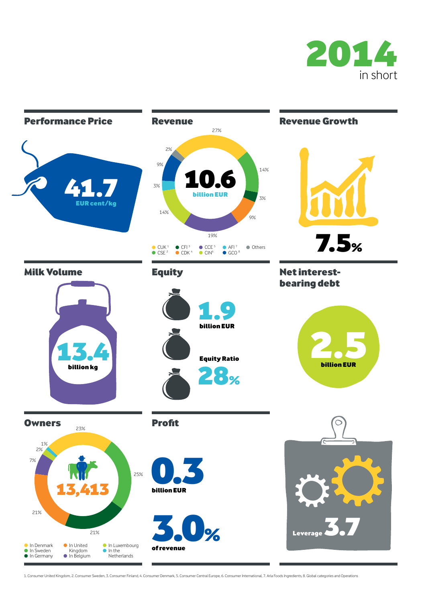



1. Consumer United Kingdom, 2. Consumer Sweden, 3. Consumer Finland, 4. Consumer Denmark, 5. Consumer Central Europe, 6. Consumer International, 7. Arla Foods Ingredients, 8. Global categories and Operations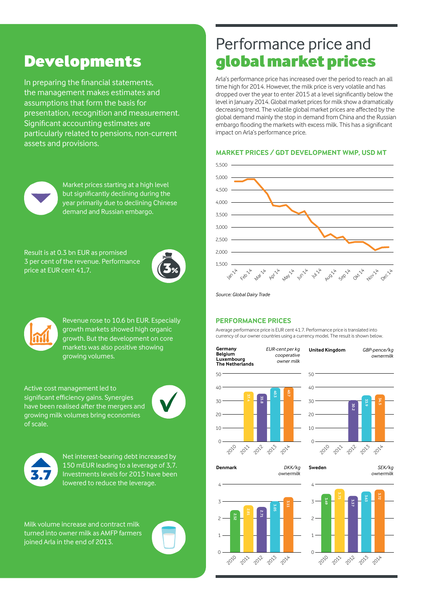### Developments

In preparing the financial statements, the management makes estimates and assumptions that form the basis for presentation, recognition and measurement. Significant accounting estimates are particularly related to pensions, non-current assets and provisions.



Market prices starting at a high level but significantly declining during the year primarily due to declining Chinese demand and Russian embargo.

Result is at 0.3 bn EUR as promised 3 per cent of the revenue. Performance price at EUR cent 41,7.





Revenue rose to 10.6 bn EUR. Especially growth markets showed high organic growth. But the development on core markets was also positive showing growing volumes.

Active cost management led to significant efficiency gains. Synergies have been realised after the mergers and growing milk volumes bring economies of scale.





Net interest-bearing debt increased by 150 mEUR leading to a leverage of 3,7. Investments levels for 2015 have been lowered to reduce the leverage.

Milk volume increase and contract milk turned into owner milk as AMFP farmers joined Arla in the end of 2013.

## Performance price and global market prices

Arla's performance price has increased over the period to reach an all time high for 2014. However, the milk price is very volatile and has dropped over the year to enter 2015 at a level significantly below the level in January 2014. Global market prices for milk show a dramatically decreasing trend. The volatile global market prices are affected by the global demand mainly the stop in demand from China and the Russian embargo flooding the markets with excess milk. This has a significant impact on Arla's performance price.

### **MARKET PRICES / GDT DEVELOPMENT WMP, USD MT**



*Source: Global Dairy Trade*

#### **PERFORMANCE PRICES**

Average performance price is EUR cent 41.7. Performance price is translated into currency of our owner countries using a currency model. The result is shown below.

**Germany Belgium Luxembourg The Netherlands** *EUR-cent per kg cooperative owner milk*  $50$ 



*ownermilk*



**United Kingdom** *GBP-pence/kg*

**Denmark** *DKK/kg*

2010 2011 2012 2013 2014



**Sweden** *SEK/kg ownermilk*

*ownermilk*

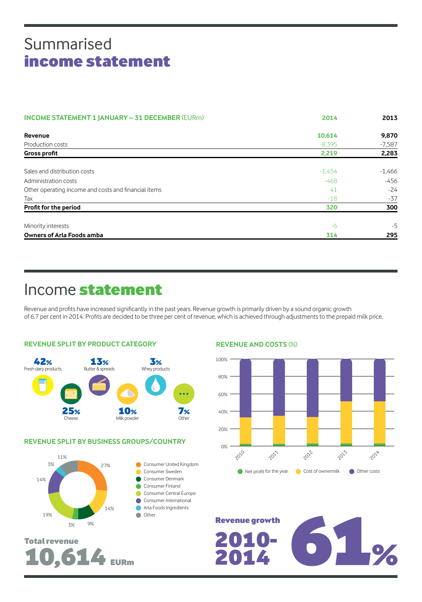### Summarised income statement

| <b>INCOME STATEMENT 1 JANUARY - 31 DECEMBER (EURM)</b> | 2014     | 2013     |
|--------------------------------------------------------|----------|----------|
| Revenue                                                | 10,614   | 9,870    |
| Production costs                                       | $-8.395$ | $-7,587$ |
| <b>Gross profit</b>                                    | 2,219    | 2,283    |
| Sales and distribution costs                           | $-1,454$ | $-1,466$ |
| Administration costs                                   | $-468$   | $-456$   |
| Other operating income and costs and financial items   | 41       | $-24$    |
| Tax                                                    | $-18$    | $-37$    |
| Profit for the period                                  | 320      | 300      |
| Minority interests                                     | $-6$     | -5       |
| <b>Owners of Arla Foods amba</b>                       | 314      | 295      |

### Income statement

Revenue and profits have increased significantly in the past years. Revenue growth is primarily driven by a sound organic growth of 6.7 per cent in 2014. Profits are decided to be three per cent of revenue, which is achieved through adjustments to the prepaid milk price.



### **REVENUE SPLIT BY BUSINESS GROUPS/COUNTRY**



Total revenue

10,614 EURm

#### **REVENUE AND COSTS** (%)



Revenue growth<br>2010-<br>2014 2014 2014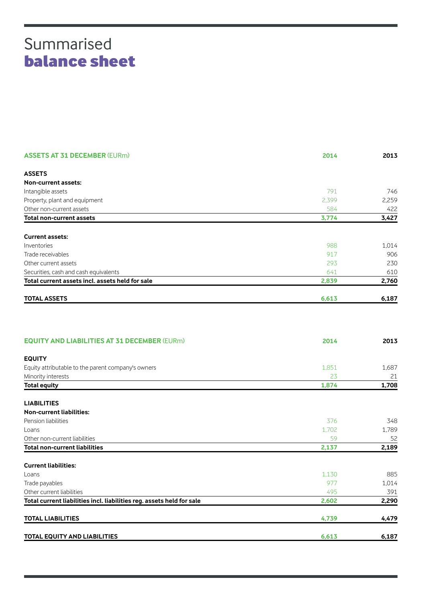### Summarised balance sheet

| <b>ASSETS AT 31 DECEMBER (EURm)</b>                                   | 2014  | 2013  |
|-----------------------------------------------------------------------|-------|-------|
| <b>ASSETS</b>                                                         |       |       |
| Non-current assets:                                                   |       |       |
| Intangible assets                                                     | 791   | 746   |
| Property, plant and equipment                                         | 2,399 | 2,259 |
| Other non-current assets                                              | 584   | 422   |
| <b>Total non-current assets</b>                                       | 3,774 | 3,427 |
| <b>Current assets:</b>                                                |       |       |
| Inventories                                                           | 988   | 1,014 |
| Trade receivables                                                     | 917   | 906   |
| Other current assets                                                  | 293   | 230   |
| Securities, cash and cash equivalents                                 | 641   | 610   |
| Total current assets incl. assets held for sale                       | 2,839 | 2,760 |
| <b>TOTAL ASSETS</b>                                                   | 6,613 | 6,187 |
|                                                                       |       |       |
| <b>EQUITY AND LIABILITIES AT 31 DECEMBER (EURm)</b>                   | 2014  | 2013  |
| <b>EQUITY</b>                                                         |       |       |
| Equity attributable to the parent company's owners                    | 1,851 | 1,687 |
| Minority interests                                                    | 23    | 21    |
| <b>Total equity</b>                                                   | 1,874 | 1,708 |
| <b>LIABILITIES</b>                                                    |       |       |
| <b>Non-current liabilities:</b>                                       |       |       |
| Pension liabilities                                                   | 376   | 348   |
| Loans                                                                 | 1,702 | 1,789 |
| Other non-current liabilities                                         | 59    | 52    |
| <b>Total non-current liabilities</b>                                  | 2,137 | 2,189 |
| <b>Current liabilities:</b>                                           |       |       |
| Loans                                                                 | 1,130 | 885   |
| Trade payables                                                        | 977   | 1,014 |
| Other current liabilities                                             | 495   | 391   |
| Total current liabilities incl. liabilities reg. assets held for sale | 2,602 | 2,290 |
| <b>TOTAL LIABILITIES</b>                                              | 4,739 | 4,479 |
| <b>TOTAL EQUITY AND LIABILITIES</b>                                   | 6.613 | 6.187 |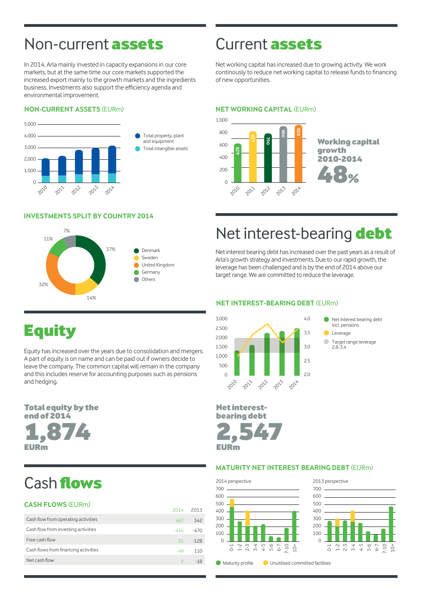### Non-current **assets** Current **assets**

In 2014, Arla mainly invested in capacity expansions in our core markets, but at the same time our core markets supported the increased export mainly to the growth markets and the ingredients business. Investments also support the efficiency agenda and environmental improvement.

### **NON-CURRENT ASSETS** (EURm) **NON-CURRENT ASSETS** (EURm)



#### **INVESTMENTS SPLIT BY COUNTRY 2014 INVESTMENTS SPLIT BY COUNTRY 2014**



Net working capital has increased due to growing activity. We work continously to reduce net working capital to release funds to financing of new opportunities.

#### **NET WORKING CAPITAL** (EURm)



### Net interest-bearing debt

Net interest bearing debt has increased over the past years as a result of Arla's growth strategy and investments. Due to our rapid growth, the leverage has been challenged and is by the end of 2014 above our target range. We are committed to reduce the leverage.

#### **NET INTEREST-BEARING DEBT** (EURm)



### **Equity**

Equity has increased over the years due to consolidation and mergers. A part of equity is on name and can be paid out if owners decide to leave the company. The common capital will remain in the company and this includes reserve for accounting purposes such as pensions and hedging.

**Total equity by the** end of 2014 1,874 EURm

### Cash flows

### **CASH FLOWS (FURm)**

|                                      | 2014   | - 2013 |
|--------------------------------------|--------|--------|
| Cash flow from operating activities  | 467    | 342    |
| Cash flow from investing activities  | $-416$ | $-470$ |
| Free cash flow                       | 51     | $-128$ |
| Cash flows from financing activities | $-49$  | 110    |
| Net cash flow                        |        | $-18$  |
|                                      |        |        |



Leverage Target range leverage 2.8-3.4

#### **MATURITY NET INTEREST BEARING DEBT** (EURm)